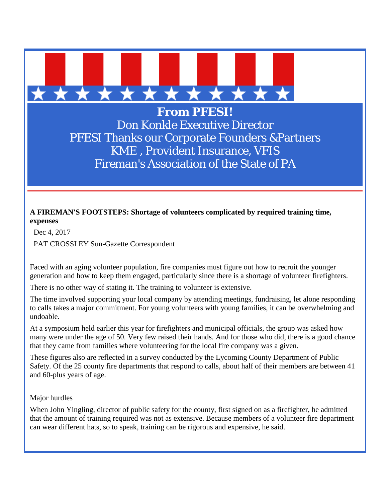

**From PFESI!** Don Konkle Executive Director PFESI Thanks our Corporate Founders &Partners KME , Provident Insurance, VFIS Fireman's Association of the State of PA

## **A FIREMAN'S FOOTSTEPS: Shortage of volunteers complicated by required training time, expenses**

Dec 4, 2017

PAT CROSSLEY Sun-Gazette Correspondent

Faced with an aging volunteer population, fire companies must figure out how to recruit the younger generation and how to keep them engaged, particularly since there is a shortage of volunteer firefighters.

There is no other way of stating it. The training to volunteer is extensive.

The time involved supporting your local company by attending meetings, fundraising, let alone responding to calls takes a major commitment. For young volunteers with young families, it can be overwhelming and undoable.

At a symposium held earlier this year for firefighters and municipal officials, the group was asked how many were under the age of 50. Very few raised their hands. And for those who did, there is a good chance that they came from families where volunteering for the local fire company was a given.

These figures also are reflected in a survey conducted by the Lycoming County Department of Public Safety. Of the 25 county fire departments that respond to calls, about half of their members are between 41 and 60-plus years of age.

Major hurdles

When John Yingling, director of public safety for the county, first signed on as a firefighter, he admitted that the amount of training required was not as extensive. Because members of a volunteer fire department can wear different hats, so to speak, training can be rigorous and expensive, he said.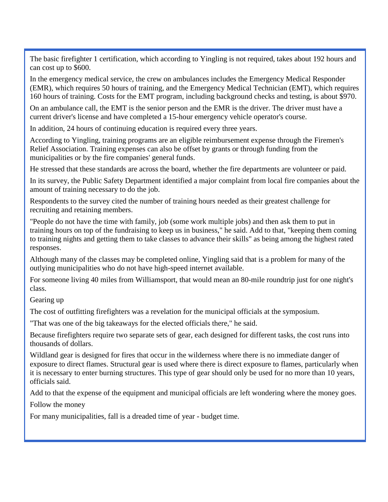The basic firefighter 1 certification, which according to Yingling is not required, takes about 192 hours and can cost up to \$600.

In the emergency medical service, the crew on ambulances includes the Emergency Medical Responder (EMR), which requires 50 hours of training, and the Emergency Medical Technician (EMT), which requires 160 hours of training. Costs for the EMT program, including background checks and testing, is about \$970.

On an ambulance call, the EMT is the senior person and the EMR is the driver. The driver must have a current driver's license and have completed a 15-hour emergency vehicle operator's course.

In addition, 24 hours of continuing education is required every three years.

According to Yingling, training programs are an eligible reimbursement expense through the Firemen's Relief Association. Training expenses can also be offset by grants or through funding from the municipalities or by the fire companies' general funds.

He stressed that these standards are across the board, whether the fire departments are volunteer or paid.

In its survey, the Public Safety Department identified a major complaint from local fire companies about the amount of training necessary to do the job.

Respondents to the survey cited the number of training hours needed as their greatest challenge for recruiting and retaining members.

"People do not have the time with family, job (some work multiple jobs) and then ask them to put in training hours on top of the fundraising to keep us in business," he said. Add to that, "keeping them coming to training nights and getting them to take classes to advance their skills" as being among the highest rated responses.

Although many of the classes may be completed online, Yingling said that is a problem for many of the outlying municipalities who do not have high-speed internet available.

For someone living 40 miles from Williamsport, that would mean an 80-mile roundtrip just for one night's class.

Gearing up

The cost of outfitting firefighters was a revelation for the municipal officials at the symposium.

"That was one of the big takeaways for the elected officials there," he said.

Because firefighters require two separate sets of gear, each designed for different tasks, the cost runs into thousands of dollars.

Wildland gear is designed for fires that occur in the wilderness where there is no immediate danger of exposure to direct flames. Structural gear is used where there is direct exposure to flames, particularly when it is necessary to enter burning structures. This type of gear should only be used for no more than 10 years, officials said.

Add to that the expense of the equipment and municipal officials are left wondering where the money goes.

Follow the money

For many municipalities, fall is a dreaded time of year - budget time.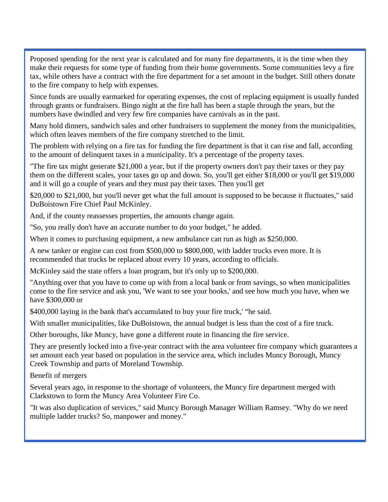Proposed spending for the next year is calculated and for many fire departments, it is the time when they make their requests for some type of funding from their home governments. Some communities levy a fire tax, while others have a contract with the fire department for a set amount in the budget. Still others donate to the fire company to help with expenses.

Since funds are usually earmarked for operating expenses, the cost of replacing equipment is usually funded through grants or fundraisers. Bingo night at the fire hall has been a staple through the years, but the numbers have dwindled and very few fire companies have carnivals as in the past.

Many hold dinners, sandwich sales and other fundraisers to supplement the money from the municipalities, which often leaves members of the fire company stretched to the limit.

The problem with relying on a fire tax for funding the fire department is that it can rise and fall, according to the amount of delinquent taxes in a municipality. It's a percentage of the property taxes.

"The fire tax might generate \$21,000 a year, but if the property owners don't pay their taxes or they pay them on the different scales, your taxes go up and down. So, you'll get either \$18,000 or you'll get \$19,000 and it will go a couple of years and they must pay their taxes. Then you'll get

\$20,000 to \$21,000, but you'll never get what the full amount is supposed to be because it fluctuates," said DuBoistown Fire Chief Paul McKinley.

And, if the county reassesses properties, the amounts change again.

"So, you really don't have an accurate number to do your budget," he added.

When it comes to purchasing equipment, a new ambulance can run as high as \$250,000.

A new tanker or engine can cost from \$500,000 to \$800,000, with ladder trucks even more. It is recommended that trucks be replaced about every 10 years, according to officials.

McKinley said the state offers a loan program, but it's only up to \$200,000.

"Anything over that you have to come up with from a local bank or from savings, so when municipalities come to the fire service and ask you, 'We want to see your books,' and see how much you have, when we have \$300,000 or

\$400,000 laying in the bank that's accumulated to buy your fire truck,' "he said.

With smaller municipalities, like DuBoistown, the annual budget is less than the cost of a fire truck.

Other boroughs, like Muncy, have gone a different route in financing the fire service.

They are presently locked into a five-year contract with the area volunteer fire company which guarantees a set amount each year based on population in the service area, which includes Muncy Borough, Muncy Creek Township and parts of Moreland Township.

Benefit of mergers

Several years ago, in response to the shortage of volunteers, the Muncy fire department merged with Clarkstown to form the Muncy Area Volunteer Fire Co.

"It was also duplication of services," said Muncy Borough Manager William Ramsey. "Why do we need multiple ladder trucks? So, manpower and money."